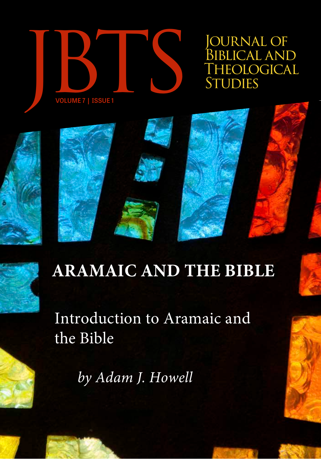

OURNAL OF BIBLICAL AND<br>THEOLOGICAL



# **ARAMAIC AND THE BIBLE**

Introduction to Aramaic and the Bible

*by Adam J. Howell*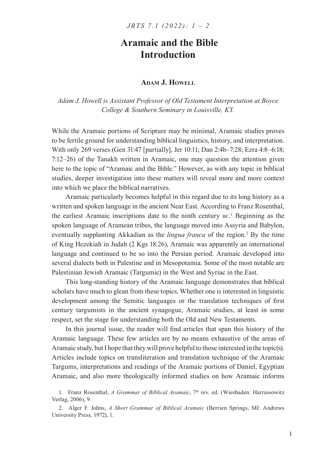# **Aramaic and the Bible Introduction**

## **Adam J. Howell**

*Adam J. Howell is Assistant Professor of Old Testament Interpretation at Boyce College & Southern Seminary in Louisville, KY.*

While the Aramaic portions of Scripture may be minimal, Aramaic studies proves to be fertile ground for understanding biblical linguistics, history, and interpretation. With only 269 verses (Gen 31:47 [partially], Jer 10:11; Dan 2:4b–7:28; Ezra 4:8–6:18; 7:12–26) of the Tanakh written in Aramaic, one may question the attention given here to the topic of "Aramaic and the Bible." However, as with any topic in biblical studies, deeper investigation into these matters will reveal more and more context into which we place the biblical narratives.

Aramaic particularly becomes helpful in this regard due to its long history as a written and spoken language in the ancient Near East. According to Franz Rosenthal, the earliest Aramaic inscriptions date to the ninth century bc. 1 Beginning as the spoken language of Aramean tribes, the language moved into Assyria and Babylon, eventually supplanting Akkadian as the *lingua franca* of the region.<sup>2</sup> By the time of King Hezekiah in Judah (2 Kgs 18:26), Aramaic was apparently an international language and continued to be so into the Persian period. Aramaic developed into several dialects both in Palestine and in Mesopotamia. Some of the most notable are Palestinian Jewish Aramaic (Targumic) in the West and Syriac in the East.

This long-standing history of the Aramaic language demonstrates that biblical scholars have much to glean from these topics. Whether one is interested in linguistic development among the Semitic languages or the translation techniques of first century targumists in the ancient synagogue, Aramaic studies, at least in some respect, set the stage for understanding both the Old and New Testaments.

In this journal issue, the reader will find articles that span this history of the Aramaic language. These few articles are by no means exhaustive of the areas of Aramaic study, but I hope that they will prove helpful to those interested in the topic(s). Articles include topics on transliteration and translation technique of the Aramaic Targums, interpretations and readings of the Aramaic portions of Daniel, Egyptian Aramaic, and also more theologically informed studies on how Aramaic informs

<sup>1.</sup> Franz Rosenthal, *A Grammar of Biblical Aramaic*, 7<sup>th</sup> rev. ed. (Wiesbaden: Harrassowitz Verlag, 2006), 9.

<sup>2</sup>. Alger F. Johns, *A Short Grammar of Biblical Aramaic* (Berrien Springs, MI: Andrews University Press, 1972), 1.